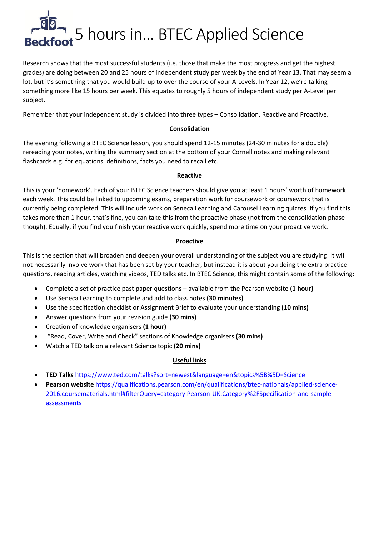

Research shows that the most successful students (i.e. those that make the most progress and get the highest grades) are doing between 20 and 25 hours of independent study per week by the end of Year 13. That may seem a lot, but it's something that you would build up to over the course of your A-Levels. In Year 12, we're talking something more like 15 hours per week. This equates to roughly 5 hours of independent study per A-Level per subject.

Remember that your independent study is divided into three types – Consolidation, Reactive and Proactive.

## **Consolidation**

The evening following a BTEC Science lesson, you should spend 12-15 minutes (24-30 minutes for a double) rereading your notes, writing the summary section at the bottom of your Cornell notes and making relevant flashcards e.g. for equations, definitions, facts you need to recall etc.

#### **Reactive**

This is your 'homework'. Each of your BTEC Science teachers should give you at least 1 hours' worth of homework each week. This could be linked to upcoming exams, preparation work for coursework or coursework that is currently being completed. This will include work on Seneca Learning and Carousel Learning quizzes. If you find this takes more than 1 hour, that's fine, you can take this from the proactive phase (not from the consolidation phase though). Equally, if you find you finish your reactive work quickly, spend more time on your proactive work.

## **Proactive**

This is the section that will broaden and deepen your overall understanding of the subject you are studying. It will not necessarily involve work that has been set by your teacher, but instead it is about you doing the extra practice questions, reading articles, watching videos, TED talks etc. In BTEC Science, this might contain some of the following:

- Complete a set of practice past paper questions available from the Pearson website **(1 hour)**
- Use Seneca Learning to complete and add to class notes **(30 minutes)**
- Use the specification checklist or Assignment Brief to evaluate your understanding **(10 mins)**
- Answer questions from your revision guide **(30 mins)**
- Creation of knowledge organisers **(1 hour)**
- "Read, Cover, Write and Check" sections of Knowledge organisers **(30 mins)**
- Watch a TED talk on a relevant Science topic **(20 mins)**

# **Useful links**

- **TED Talks** <https://www.ted.com/talks?sort=newest&language=en&topics%5B%5D=Science>
- **Pearson website** [https://qualifications.pearson.com/en/qualifications/btec-nationals/applied-science-](https://qualifications.pearson.com/en/qualifications/btec-nationals/applied-science-2016.coursematerials.html#filterQuery=category:Pearson-UK:Category%2FSpecification-and-sample-assessments)[2016.coursematerials.html#filterQuery=category:Pearson-UK:Category%2FSpecification-and-sample](https://qualifications.pearson.com/en/qualifications/btec-nationals/applied-science-2016.coursematerials.html#filterQuery=category:Pearson-UK:Category%2FSpecification-and-sample-assessments)[assessments](https://qualifications.pearson.com/en/qualifications/btec-nationals/applied-science-2016.coursematerials.html#filterQuery=category:Pearson-UK:Category%2FSpecification-and-sample-assessments)